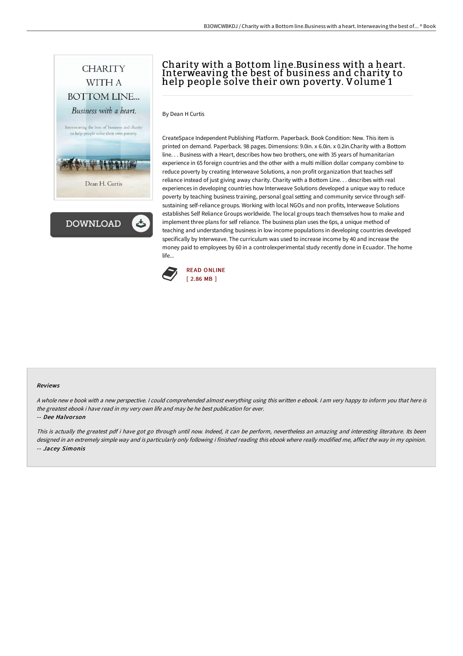



# Charity with a Bottom line.Business with a heart. Interweaving the best of business and charity to help people solve their own poverty. Volume´1

By Dean H Curtis

CreateSpace Independent Publishing Platform. Paperback. Book Condition: New. This item is printed on demand. Paperback. 98 pages. Dimensions: 9.0in. x 6.0in. x 0.2in.Charity with a Bottom line. . . Business with a Heart, describes how two brothers, one with 35 years of humanitarian experience in 65 foreign countries and the other with a multi million dollar company combine to reduce poverty by creating Interweave Solutions, a non profit organization that teaches self reliance instead of just giving away charity. Charity with a Bottom Line. . . describes with real experiences in developing countries how Interweave Solutions developed a unique way to reduce poverty by teaching business training, personal goal setting and community service through selfsustaining self-reliance groups. Working with local NGOs and non profits, Interweave Solutions establishes Self Reliance Groups worldwide. The local groups teach themselves how to make and implement three plans for self reliance. The business plan uses the 6ps, a unique method of teaching and understanding business in low income populations in developing countries developed specifically by Interweave. The curriculum was used to increase income by 40 and increase the money paid to employees by 60 in a controlexperimental study recently done in Ecuador. The home life...



#### Reviews

<sup>A</sup> whole new <sup>e</sup> book with <sup>a</sup> new perspective. <sup>I</sup> could comprehended almost everything using this written <sup>e</sup> ebook. <sup>I</sup> am very happy to inform you that here is the greatest ebook i have read in my very own life and may be he best publication for ever.

#### -- Dee Halvor son

This is actually the greatest pdf i have got go through until now. Indeed, it can be perform, nevertheless an amazing and interesting literature. Its been designed in an extremely simple way and is particularly only following i finished reading this ebook where really modified me, affect the way in my opinion. -- Jacey Simonis